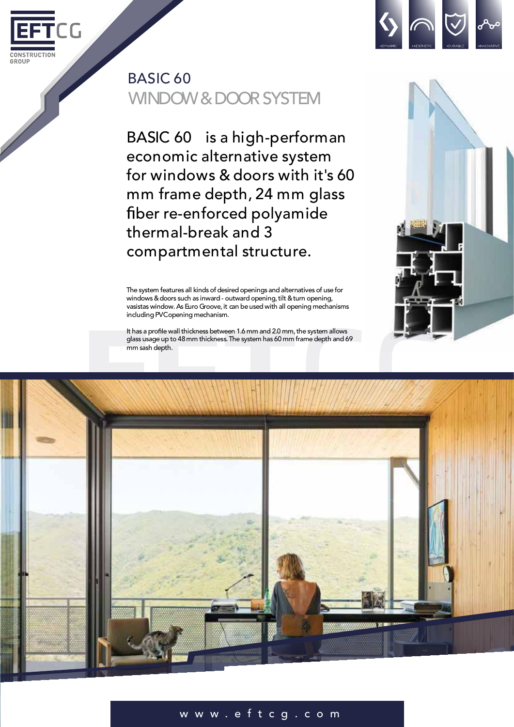

## BASIC 60 WINDOW & DOOR SYSTEM

BASIC 60 is a high-performan economic alternative system for windows & doors with it's 60 mm frame depth, 24 mm glass ber re-enforced polyamide thermal-break and 3 compartmental structure.

The system features all kinds of desired openings and alternatives of use for windows & doors such as inward - outward opening, tilt & turn opening, vasistas window. As Euro Groove, it can be used with all opening mechanisms including PVCopening mechanism.

It has a profile wall thickness between 1.6 mm and 2.0 mm, the system allows glass usage up to 48 mm thickness. The system has 60 mm frame depth and 69 mm sash depth.





## w w w . e f t c g . c o m